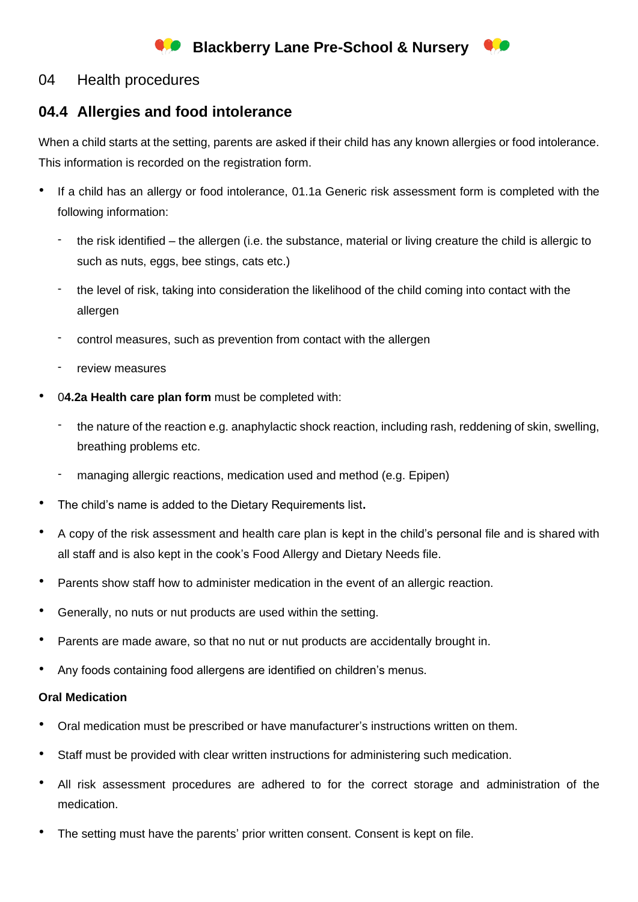## **Blackberry Lane Pre-School & Nursery**

## 04 Health procedures

## **04.4 Allergies and food intolerance**

When a child starts at the setting, parents are asked if their child has any known allergies or food intolerance. This information is recorded on the registration form.

- If a child has an allergy or food intolerance, 01.1a Generic risk assessment form is completed with the following information:
	- the risk identified the allergen (i.e. the substance, material or living creature the child is allergic to such as nuts, eggs, bee stings, cats etc.)
	- the level of risk, taking into consideration the likelihood of the child coming into contact with the allergen
	- control measures, such as prevention from contact with the allergen
	- review measures
- 0**4.2a Health care plan form** must be completed with:
	- the nature of the reaction e.g. anaphylactic shock reaction, including rash, reddening of skin, swelling, breathing problems etc.
	- managing allergic reactions, medication used and method (e.g. Epipen)
- The child's name is added to the Dietary Requirements list**.**
- A copy of the risk assessment and health care plan is kept in the child's personal file and is shared with all staff and is also kept in the cook's Food Allergy and Dietary Needs file.
- Parents show staff how to administer medication in the event of an allergic reaction.
- Generally, no nuts or nut products are used within the setting.
- Parents are made aware, so that no nut or nut products are accidentally brought in.
- Any foods containing food allergens are identified on children's menus.

## **Oral Medication**

- Oral medication must be prescribed or have manufacturer's instructions written on them.
- Staff must be provided with clear written instructions for administering such medication.
- All risk assessment procedures are adhered to for the correct storage and administration of the medication.
- The setting must have the parents' prior written consent. Consent is kept on file.